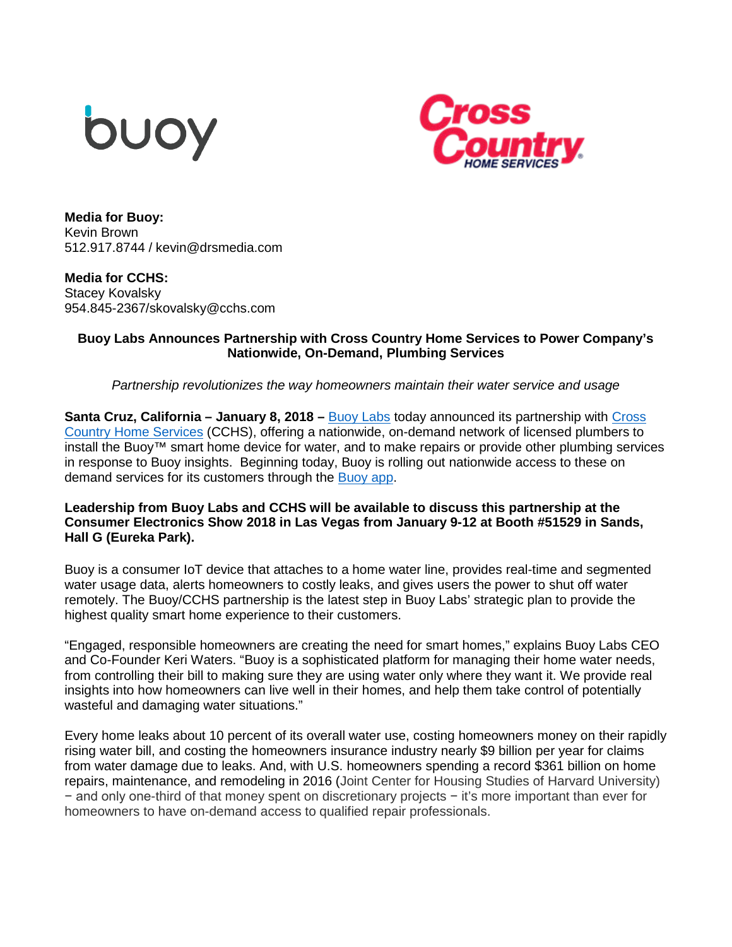



**Media for Buoy:** Kevin Brown 512.917.8744 / kevin@drsmedia.com

**Media for CCHS:**  Stacey Kovalsky 954.845-2367/skovalsky@cchs.com

## **Buoy Labs Announces Partnership with Cross Country Home Services to Power Company's Nationwide, On-Demand, Plumbing Services**

*Partnership revolutionizes the way homeowners maintain their water service and usage*

**Santa Cruz, California – January 8, 2018 –** [Buoy Labs](https://www.buoy.ai/) today announced its partnership with [Cross](http://www.cchs.com/)  [Country Home Services](http://www.cchs.com/) (CCHS), offering a nationwide, on-demand network of licensed plumbers to install the Buoy™ smart home device for water, and to make repairs or provide other plumbing services in response to Buoy insights. Beginning today, Buoy is rolling out nationwide access to these on demand services for its customers through the [Buoy app.](https://itunes.apple.com/us/app/buoy-home-water/id1163916575?mt=8)

## **Leadership from Buoy Labs and CCHS will be available to discuss this partnership at the Consumer Electronics Show 2018 in Las Vegas from January 9-12 at Booth #51529 in Sands, Hall G (Eureka Park).**

Buoy is a consumer IoT device that attaches to a home water line, provides real-time and segmented water usage data, alerts homeowners to costly leaks, and gives users the power to shut off water remotely. The Buoy/CCHS partnership is the latest step in Buoy Labs' strategic plan to provide the highest quality smart home experience to their customers.

"Engaged, responsible homeowners are creating the need for smart homes," explains Buoy Labs CEO and Co-Founder Keri Waters. "Buoy is a sophisticated platform for managing their home water needs, from controlling their bill to making sure they are using water only where they want it. We provide real insights into how homeowners can live well in their homes, and help them take control of potentially wasteful and damaging water situations."

Every home leaks about 10 percent of its overall water use, costing homeowners money on their rapidly rising water bill, and costing the homeowners insurance industry nearly \$9 billion per year for claims from water damage due to leaks. And, with U.S. homeowners spending a record \$361 billion on home repairs, maintenance, and remodeling in 2016 (Joint Center for Housing Studies of Harvard University) − and only one-third of that money spent on discretionary projects − it's more important than ever for homeowners to have on-demand access to qualified repair professionals.